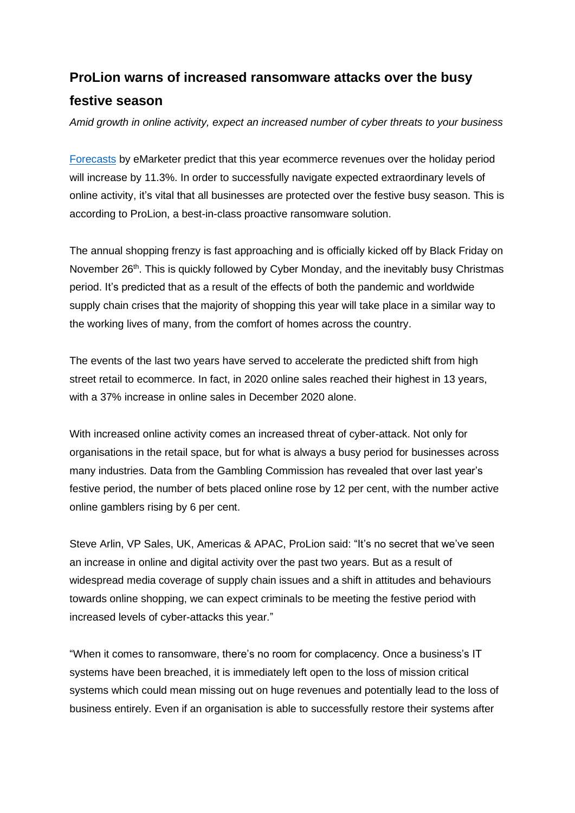## **ProLion warns of increased ransomware attacks over the busy festive season**

*Amid growth in online activity, expect an increased number of cyber threats to your business*

[Forecasts](https://whiplash.com/blog/ecommerce-2021-holiday-season/) by eMarketer predict that this year ecommerce revenues over the holiday period will increase by 11.3%. In order to successfully navigate expected extraordinary levels of online activity, it's vital that all businesses are protected over the festive busy season. This is according to ProLion, a best-in-class proactive ransomware solution.

The annual shopping frenzy is fast approaching and is officially kicked off by Black Friday on November 26<sup>th</sup>. This is quickly followed by Cyber Monday, and the inevitably busy Christmas period. It's predicted that as a result of the effects of both the pandemic and worldwide supply chain crises that the majority of shopping this year will take place in a similar way to the working lives of many, from the comfort of homes across the country.

The events of the last two years have served to accelerate the predicted shift from high street retail to ecommerce. In fact, in 2020 online sales reached their highest in 13 years, with a 37% increase in online sales in December 2020 alone.

With increased online activity comes an increased threat of cyber-attack. Not only for organisations in the retail space, but for what is always a busy period for businesses across many industries. Data from the Gambling Commission has revealed that over last year's festive period, the number of bets placed online rose by 12 per cent, with the number active online gamblers rising by 6 per cent.

Steve Arlin, VP Sales, UK, Americas & APAC, ProLion said: "It's no secret that we've seen an increase in online and digital activity over the past two years. But as a result of widespread media coverage of supply chain issues and a shift in attitudes and behaviours towards online shopping, we can expect criminals to be meeting the festive period with increased levels of cyber-attacks this year."

"When it comes to ransomware, there's no room for complacency. Once a business's IT systems have been breached, it is immediately left open to the loss of mission critical systems which could mean missing out on huge revenues and potentially lead to the loss of business entirely. Even if an organisation is able to successfully restore their systems after